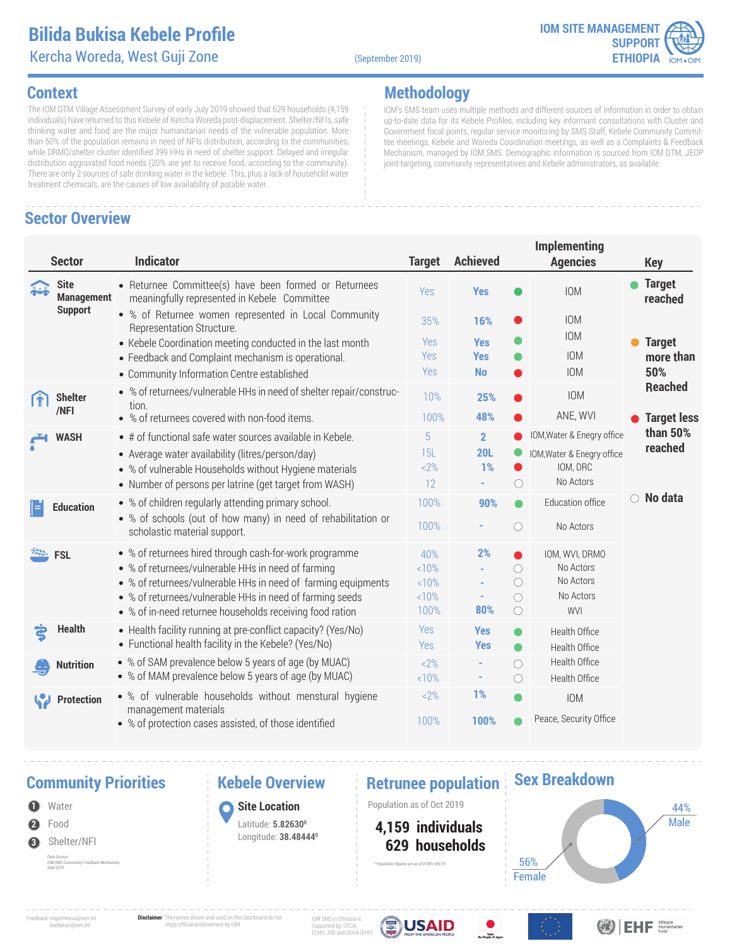

### **Context**

The IOM DTM Village Assessment Survey of early July 2019 showed that 629 households (4,159 individuals) have returned to this Kebele of Kercha Woreda post-displacement. Shelter/NFIs, safe drinking water and food are the major humanitarian needs of the vulnerable population. More than 50% of the population remains in need of NFIs distribution, according to the communities, while DRMO/shelter cluster identified 399 HHs in need of shelter support. Delayed and irregular distribution aggravated food needs (20% are yet to receive food, according to the community). There are only 2 sources of safe drinking water in the kebele. This, plus a lack of household water treatment chemicals, are the causes of low availability of potable water.

# **Sector Overview**

### **Methodology**

IOM's SMS team uses multiple methods and different sources of information in order to obtain up-to-date data for its Kebele Profiles, including key informant consultations with Cluster and Government focal points, regular service monitoring by SMS Staff, Kebele Community Committee meetings, Kebele and Woreda Coordination meetings, as well as a Complaints & Feedback Mechanism, managed by IOM SMS. Demographic information is sourced from IOM DTM, JEOP joint targeting, community representatives and Kebele administrators, as available.

|                   | <b>Sector</b>                    | <b>Indicator</b>                                                                                             | <b>Target</b> | <b>Achieved</b>          | <b>Implementing</b><br><b>Agencies</b> | <b>Key</b>               |
|-------------------|----------------------------------|--------------------------------------------------------------------------------------------------------------|---------------|--------------------------|----------------------------------------|--------------------------|
| $\ddot{\text{m}}$ | <b>Site</b><br><b>Management</b> | • Returnee Committee(s) have been formed or Returnees<br>meaningfully represented in Kebele Committee        | <b>Yes</b>    | <b>Yes</b>               | <b>IOM</b>                             | <b>Target</b><br>reached |
|                   | <b>Support</b>                   | • % of Returnee women represented in Local Community<br>Representation Structure.                            | 35%           | 16%                      | <b>IOM</b><br>IOM                      |                          |
|                   |                                  | • Kebele Coordination meeting conducted in the last month                                                    | Yes<br>Yes    | <b>Yes</b><br><b>Yes</b> | <b>IOM</b>                             | <b>Target</b>            |
|                   |                                  | • Feedback and Complaint mechanism is operational.                                                           | Yes           | <b>No</b>                | <b>IOM</b>                             | more than<br>50%         |
|                   |                                  | • Community Information Centre established                                                                   |               |                          |                                        | <b>Reached</b>           |
|                   | <b>Shelter</b>                   | • % of returnees/vulnerable HHs in need of shelter repair/construc-<br>tion.                                 | 10%           | 25%                      | <b>IOM</b>                             |                          |
|                   | /NFI                             | • % of returnees covered with non-food items.                                                                | 100%          | 48%                      | ANE, WVI                               | <b>Target less</b>       |
|                   | <b>WASH</b>                      | $\bullet$ # of functional safe water sources available in Kebele.                                            | 5             | $\overline{2}$           | IOM, Water & Enegry office             | than 50%                 |
|                   |                                  | • Average water availability (litres/person/day)                                                             | 15L           | <b>20L</b>               | IOM, Water & Enegry office             | reached                  |
|                   |                                  | • % of vulnerable Households without Hygiene materials                                                       | $2\%$         | 1%                       | IOM, DRC<br>0                          |                          |
|                   |                                  | • Number of persons per latrine (get target from WASH)                                                       | 12            |                          | No Actors<br>$\bigcirc$                |                          |
| ⊫                 | <b>Education</b>                 | • % of children regularly attending primary school.                                                          | 100%          | 90%                      | Education office<br>$\bullet$          | $\circ$ No data          |
|                   |                                  | • % of schools (out of how many) in need of rehabilitation or<br>scholastic material support.                | 100%          |                          | No Actors<br>$\bigcirc$                |                          |
|                   | <b>FSL</b>                       | • % of returnees hired through cash-for-work programme                                                       | 40%           | 2%                       | IOM, WVI, DRMO                         |                          |
|                   |                                  | • % of returnees/vulnerable HHs in need of farming                                                           | <10%          |                          | No Actors<br>$\bigcirc$                |                          |
|                   |                                  | • % of returnees/vulnerable HHs in need of farming equipments                                                | <10%          |                          | No Actors<br>$\bigcirc$                |                          |
|                   |                                  | • % of returnees/vulnerable HHs in need of farming seeds                                                     | <10%          |                          | No Actors<br>$\bigcirc$                |                          |
|                   |                                  | • % of in-need returnee households receiving food ration                                                     | 100%          | 80%                      | $\bigcirc$<br><b>WVI</b>               |                          |
|                   | <b>Health</b>                    | • Health facility running at pre-conflict capacity? (Yes/No)                                                 | Yes           | <b>Yes</b>               | Health Office<br>●                     |                          |
|                   |                                  | • Functional health facility in the Kebele? (Yes/No)                                                         | Yes           | <b>Yes</b>               | Health Office<br>$\bullet$             |                          |
|                   | <b>Nutrition</b>                 | • % of SAM prevalence below 5 years of age (by MUAC)<br>• % of MAM prevalence below 5 years of age (by MUAC) | $2\%$         | ٠                        | Health Office<br>$\bigcirc$            |                          |
|                   |                                  |                                                                                                              | <10%          | ۰                        | Health Office<br>$\bigcirc$            |                          |
|                   | <b>Protection</b>                | • % of vulnerable households without menstural hygiene<br>management materials                               | $2\%$         | 1%                       | <b>IOM</b>                             |                          |
|                   |                                  | • % of protection cases assisted, of those identified                                                        | 100%          | 100%                     | Peace, Security Office                 |                          |

### **Community Priorities 6 Rebele Overview Retrunee population**

**2** Water Food **3** Shelter/NFI *Data Source: IOM SMS Community Feedback Mechanism, Sept 2019*

### **Kebele Overview**

**Site Location** Latitude: **5.826300** Longitude: **38.484440**

**1 1 1 C Site Location 1 Population as of Oct 2019** 

*\* Population figures are as of DTM's VAS R1*

 **629 households 4,159 individuals**

### **Sex Breakdown**



Feedback: mgurmessa@iom.int badhikari@iom.int

**Disclaimer**: The names shown and used on this dashboard do not imply official endorsement by IOM

IOM SMS in Ethiopia is Supported by: OFDA, ECHO, JSB and OCHA (EHF)



From

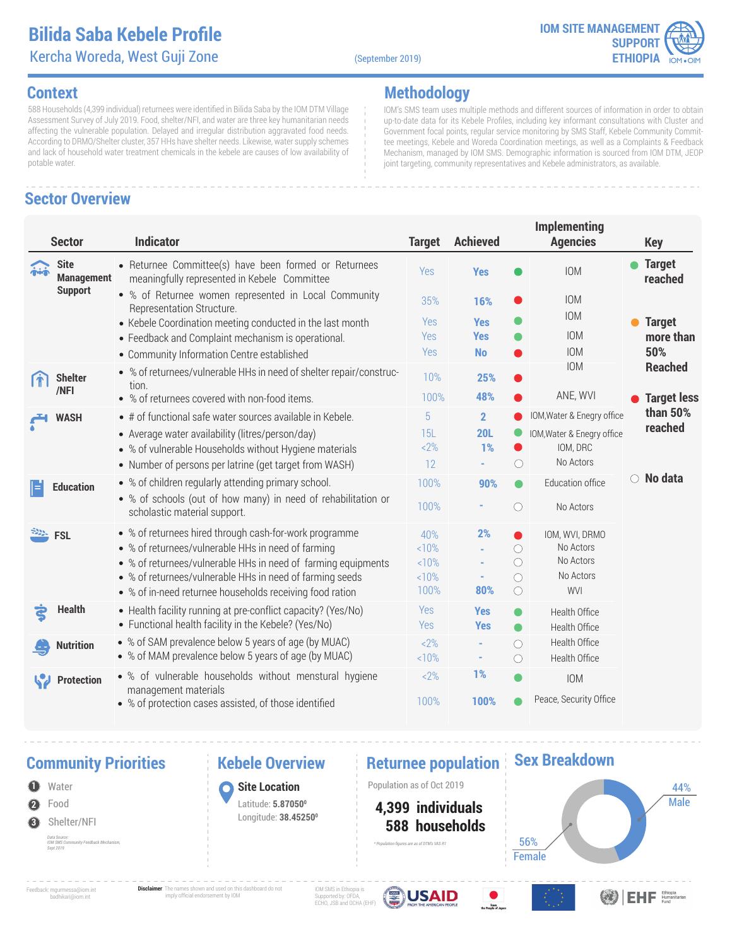**Methodology**



**Key**

IOM's SMS team uses multiple methods and different sources of information in order to obtain up-to-date data for its Kebele Profiles, including key informant consultations with Cluster and Government focal points, regular service monitoring by SMS Staff, Kebele Community Committee meetings, Kebele and Woreda Coordination meetings, as well as a Complaints & Feedback

### **Context**

588 Households (4,399 individual) returnees were identified in Bilida Saba by the IOM DTM Village Assessment Survey of July 2019. Food, shelter/NFI, and water are three key humanitarian needs affecting the vulnerable population. Delayed and irregular distribution aggravated food needs. According to DRMO/Shelter cluster, 357 HHs have shelter needs. Likewise, water supply schemes and lack of household water treatment chemicals in the kebele are causes of low availability of potable water.

# **Sector Overview**

**Site**

### **Sector Indicator Target Achieved Implementing Agencies Yes a** IOM **a** Target Returnee Committee(s) have been formed or Returnees meaningfully represented in Kebele Committee Yes Mechanism, managed by IOM SMS. Demographic information is sourced from IOM DTM, JEOP joint targeting, community representatives and Kebele administrators, as available. IOM

| <b>CLASS CAP</b><br><b>Management</b><br><b>Support</b> | meaningfully represented in Kebele Committee<br>• % of Returnee women represented in Local Community<br>Representation Structure.<br>• Kebele Coordination meeting conducted in the last month<br>• Feedback and Complaint mechanism is operational.<br>• Community Information Centre established    | 152<br>35%<br>Yes<br>Yes<br>Yes     | <b>res</b><br>16%<br><b>Yes</b><br><b>Yes</b><br><b>No</b> |                                                                                                         | <b>IUIVI</b><br><b>IOM</b><br><b>IOM</b><br><b>IOM</b><br><b>IOM</b>              | reached<br><b>Target</b><br>more than<br>50% |
|---------------------------------------------------------|-------------------------------------------------------------------------------------------------------------------------------------------------------------------------------------------------------------------------------------------------------------------------------------------------------|-------------------------------------|------------------------------------------------------------|---------------------------------------------------------------------------------------------------------|-----------------------------------------------------------------------------------|----------------------------------------------|
| <b>Shelter</b><br>ſf<br>/NFI                            | • % of returnees/vulnerable HHs in need of shelter repair/construc-<br>tion.<br>• % of returnees covered with non-food items.                                                                                                                                                                         | 10%<br>100%                         | 25%<br>48%                                                 |                                                                                                         | <b>IOM</b><br>ANE, WVI                                                            | <b>Reached</b><br><b>Target less</b>         |
| <b>WASH</b>                                             | • # of functional safe water sources available in Kebele.<br>• Average water availability (litres/person/day)<br>• % of vulnerable Households without Hygiene materials<br>• Number of persons per latrine (get target from WASH)                                                                     | 5<br>15L<br>$2\%$<br>12             | $\overline{2}$<br><b>20L</b><br>1%                         | $\bigcirc$                                                                                              | IOM, Water & Enegry office<br>IOM, Water & Enegry office<br>IOM, DRC<br>No Actors | than $50\%$<br>reached                       |
| ⊫<br><b>Education</b>                                   | • % of children regularly attending primary school.<br>• % of schools (out of how many) in need of rehabilitation or<br>scholastic material support.                                                                                                                                                  | 100%<br>100%                        | 90%                                                        | O                                                                                                       | Education office<br>No Actors                                                     | $\circ$ No data                              |
| <b>EXAMPLE</b> FSL                                      | • % of returnees hired through cash-for-work programme<br>• % of returnees/vulnerable HHs in need of farming<br>• % of returnees/vulnerable HHs in need of farming equipments<br>• % of returnees/vulnerable HHs in need of farming seeds<br>• % of in-need returnee households receiving food ration | 40%<br><10%<br><10%<br><10%<br>100% | 2%<br>80%                                                  | $\left(\begin{array}{c} \end{array}\right)$<br>$\bigcirc$<br>$\circlearrowright$<br>$\circlearrowright$ | IOM, WVI, DRMO<br>No Actors<br>No Actors<br>No Actors<br><b>WVI</b>               |                                              |
| <b>Health</b><br>È                                      | • Health facility running at pre-conflict capacity? (Yes/No)<br>• Functional health facility in the Kebele? (Yes/No)                                                                                                                                                                                  | Yes<br>Yes                          | <b>Yes</b><br><b>Yes</b>                                   | $\bullet$                                                                                               | Health Office<br>Health Office                                                    |                                              |
| <b>Nutrition</b>                                        | • % of SAM prevalence below 5 years of age (by MUAC)<br>• % of MAM prevalence below 5 years of age (by MUAC)                                                                                                                                                                                          | 2%<br><10%                          | ۰                                                          | $\bigcirc$<br>$\bigcirc$                                                                                | Health Office<br>Health Office                                                    |                                              |
| <b>Protection</b>                                       | • % of vulnerable households without menstural hygiene<br>management materials<br>• % of protection cases assisted, of those identified                                                                                                                                                               | $2\%$<br>100%                       | 1%<br>100%                                                 |                                                                                                         | <b>IOM</b><br>Peace, Security Office                                              |                                              |

### **Community Priorities Returnee population**



**Kebele Overview**

**Site Location** Latitude: **5.870500** Longitude: **38.452500**

**1** Population as of Oct 2019

 **588 households 4,399 individuals**

*\* Population figures are as of DTM's VAS R1*

### **Sex Breakdown**



Feedback: mgurmessa@iom.int badhikari@iom.int

**Disclaimer**: The names shown and used on this dashboard do not imply official endorsement by IOM

IOM SMS in Ethiop Supported by: OFDA, ECHO, JSB and OCHA (EHF)





**OBIEHE** Ethiopia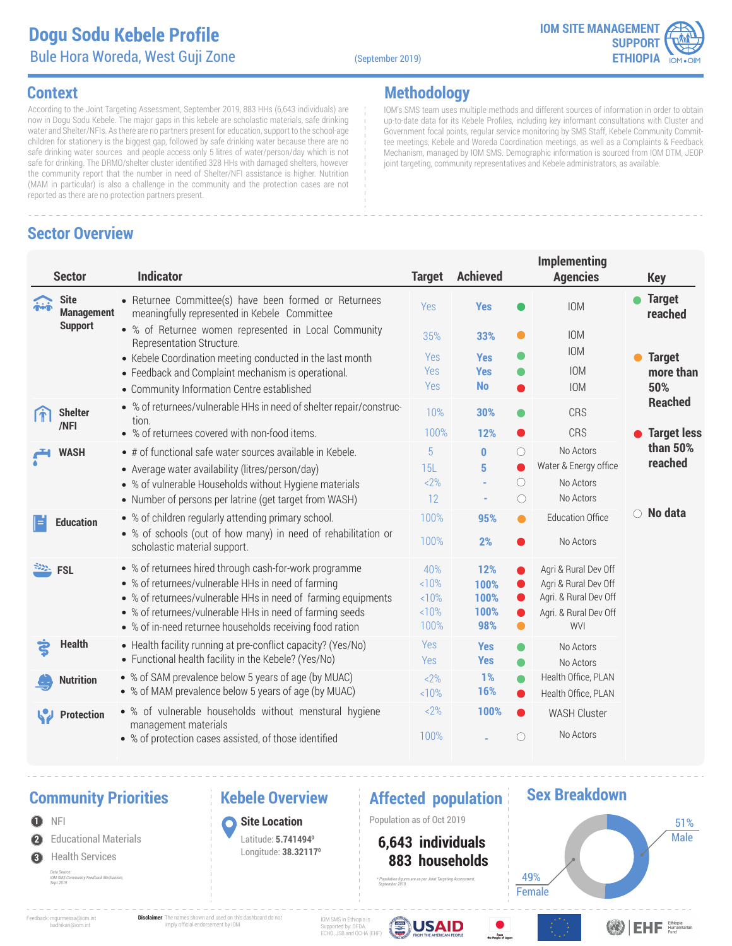### **Dogu Sodu** Bule Hora Woreda, West Guji Zone (September 2019)

**Methodology**



IOM's SMS team uses multiple methods and different sources of information in order to obtain up-to-date data for its Kebele Profiles, including key informant consultations with Cluster and Government focal points, regular service monitoring by SMS Staff, Kebele Community Committee meetings, Kebele and Woreda Coordination meetings, as well as a Complaints & Feedback Mechanism, managed by IOM SMS. Demographic information is sourced from IOM DTM, JEOP

joint targeting, community representatives and Kebele administrators, as available.

### **Context**

According to the Joint Targeting Assessment, September 2019, 883 HHs (6,643 individuals) are now in Dogu Sodu Kebele. The major gaps in this kebele are scholastic materials, safe drinking water and Shelter/NFIs. As there are no partners present for education, support to the school-age children for stationery is the biggest gap, followed by safe drinking water because there are no safe drinking water sources and people access only 5 litres of water/person/day which is not safe for drinking. The DRMO/shelter cluster identified 328 HHs with damaged shelters, however the community report that the number in need of Shelter/NFI assistance is higher. Nutrition (MAM in particular) is also a challenge in the community and the protection cases are not reported as there are no protection partners present.

### **Sector Overview**

| <b>Sector</b>                           | <b>Indicator</b>                                                                                                                                                                                                                                                                                      | <b>Target</b>                      | <b>Achieved</b>                           | Implementing<br><b>Agencies</b>                                                                                                                                       | <b>Key</b>                 |
|-----------------------------------------|-------------------------------------------------------------------------------------------------------------------------------------------------------------------------------------------------------------------------------------------------------------------------------------------------------|------------------------------------|-------------------------------------------|-----------------------------------------------------------------------------------------------------------------------------------------------------------------------|----------------------------|
| <b>Site</b><br>min<br><b>Management</b> | • Returnee Committee(s) have been formed or Returnees<br>meaningfully represented in Kebele Committee                                                                                                                                                                                                 | Yes                                | <b>Yes</b>                                | <b>IOM</b>                                                                                                                                                            | <b>Target</b><br>reached   |
| <b>Support</b>                          | • % of Returnee women represented in Local Community<br>Representation Structure.                                                                                                                                                                                                                     | 35%                                | 33%                                       | <b>IOM</b><br>$\bullet$<br><b>IOM</b>                                                                                                                                 |                            |
|                                         | • Kebele Coordination meeting conducted in the last month<br>• Feedback and Complaint mechanism is operational.                                                                                                                                                                                       | <b>Yes</b><br><b>Yes</b>           | <b>Yes</b><br><b>Yes</b>                  | <b>IOM</b>                                                                                                                                                            | <b>Target</b><br>more than |
|                                         | • Community Information Centre established                                                                                                                                                                                                                                                            | <b>Yes</b>                         | <b>No</b>                                 | <b>IOM</b>                                                                                                                                                            | 50%                        |
| <b>Shelter</b><br>/NFI                  | • % of returnees/vulnerable HHs in need of shelter repair/construc-<br>tion.                                                                                                                                                                                                                          | 10%                                | 30%                                       | <b>CRS</b>                                                                                                                                                            | <b>Reached</b>             |
|                                         | • % of returnees covered with non-food items.                                                                                                                                                                                                                                                         | 100%                               | 12%                                       | CRS<br>O                                                                                                                                                              | <b>Target less</b>         |
| <b>WASH</b>                             | • # of functional safe water sources available in Kebele.<br>• Average water availability (litres/person/day)<br>• % of vulnerable Households without Hygiene materials<br>• Number of persons per latrine (get target from WASH)                                                                     | 5<br>15L<br>$2\%$<br>12            | $\bf{0}$<br>5<br>$\overline{\phantom{a}}$ | No Actors<br>$\bigcirc$<br>Water & Energy office<br>$\bigcirc$<br>No Actors<br>No Actors<br>$\bigcirc$                                                                | than 50%<br>reached        |
| ⊫<br><b>Education</b>                   | • % of children regularly attending primary school.<br>• % of schools (out of how many) in need of rehabilitation or<br>scholastic material support.                                                                                                                                                  | 100%<br>100%                       | 95%<br>2%                                 | <b>Education Office</b><br>$\bullet$<br>No Actors                                                                                                                     | ○ No data                  |
| <b>FSL</b>                              | • % of returnees hired through cash-for-work programme<br>• % of returnees/vulnerable HHs in need of farming<br>• % of returnees/vulnerable HHs in need of farming equipments<br>• % of returnees/vulnerable HHs in need of farming seeds<br>• % of in-need returnee households receiving food ration | 40%<br><10%<br>10%<br><10%<br>100% | 12%<br>100%<br>100%<br>100%<br>98%        | Agri & Rural Dev Off<br>O<br>Agri & Rural Dev Off<br>$\bullet$<br>Agri. & Rural Dev Off<br>$\bullet$<br>Agri. & Rural Dev Off<br>$\bullet$<br>$\bullet$<br><b>WVI</b> |                            |
| <b>Health</b><br>දු                     | • Health facility running at pre-conflict capacity? (Yes/No)<br>• Functional health facility in the Kebele? (Yes/No)                                                                                                                                                                                  | <b>Yes</b><br>Yes                  | <b>Yes</b><br><b>Yes</b>                  | No Actors<br>No Actors<br>$\bullet$                                                                                                                                   |                            |
| <b>Nutrition</b>                        | • % of SAM prevalence below 5 years of age (by MUAC)<br>• % of MAM prevalence below 5 years of age (by MUAC)                                                                                                                                                                                          | $2\%$<br><10%                      | 1%<br>16%                                 | Health Office, PLAN<br>$\bullet$<br>Health Office, PLAN<br>$\bullet$                                                                                                  |                            |
| <b>Protection</b>                       | • % of vulnerable households without menstural hygiene<br>management materials<br>• % of protection cases assisted, of those identified                                                                                                                                                               | $2\%$<br>100%                      | 100%                                      | $\bullet$<br><b>WASH Cluster</b><br>No Actors<br>$\bigcirc$                                                                                                           |                            |

### **Community Priorities**

### NFI

**2** Educational Materials

**3** Health Services

*Data Source: IOM SMS Community Feedback Mechanism, Sept 2019*

# **Kebele Overview**

### **Affected population**

### **1** Population as of Oct 2019 **Site Location**

Latitude: **5.7414940** Longitude: **38.321170**

 **883 households 6,643 individuals**

*\* Population figures are as per Joint Targeting Assessment, September 2019.*

# **Sex Breakdown**



Feedback: mgurmessa@iom.int badhikari@iom.int

**Disclaimer**: The names shown and used on this dashboard do not imply official endorsement by IOM

IOM SMS in Ethiopia is **USAID** Supported by: OFDA, ECHO, JSB and OCHA (EHF)

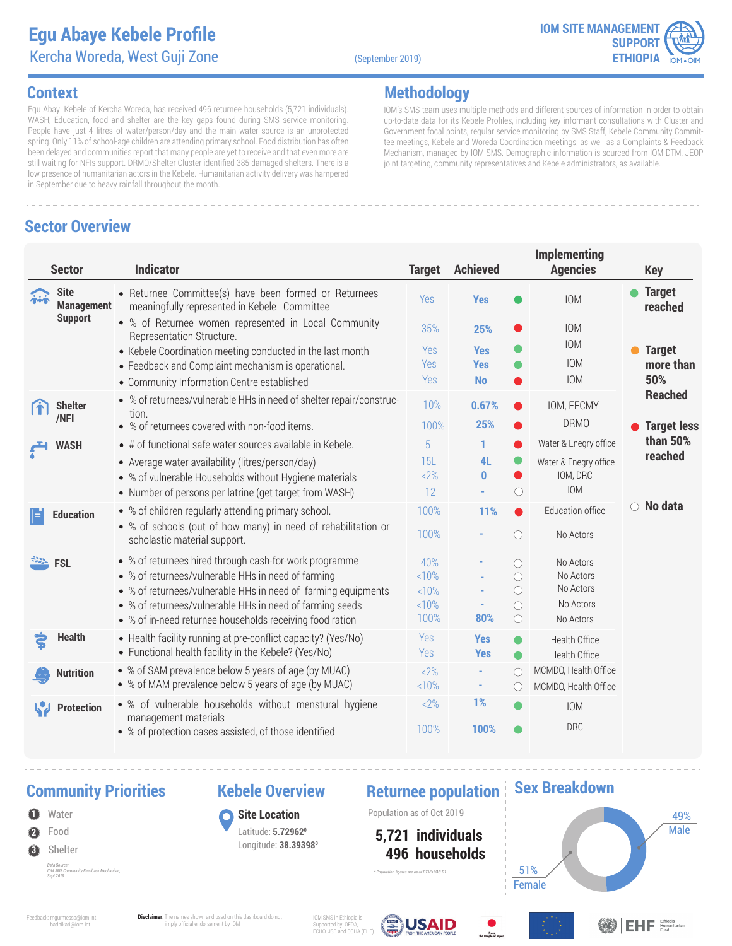### **Egu Abaye Kebele Profile** Kercha Woreda, West Guji Zone (September 2019)

**Methodology**



IOM's SMS team uses multiple methods and different sources of information in order to obtain up-to-date data for its Kebele Profiles, including key informant consultations with Cluster and Government focal points, regular service monitoring by SMS Staff, Kebele Community Committee meetings, Kebele and Woreda Coordination meetings, as well as a Complaints & Feedback Mechanism, managed by IOM SMS. Demographic information is sourced from IOM DTM, JEOP

joint targeting, community representatives and Kebele administrators, as available.

### **Context**

Egu Abayi Kebele of Kercha Woreda, has received 496 returnee households (5,721 individuals). WASH, Education, food and shelter are the key gaps found during SMS service monitoring. People have just 4 litres of water/person/day and the main water source is an unprotected spring. Only 11% of school-age children are attending primary school. Food distribution has often been delayed and communities report that many people are yet to receive and that even more are still waiting for NFIs support. DRMO/Shelter Cluster identified 385 damaged shelters. There is a low presence of humanitarian actors in the Kebele. Humanitarian activity delivery was hampered in September due to heavy rainfall throughout the month.

### **Sector Overview**

### **Implementing Agencies Sector Indicator Target Achieved Key Yes o** IOM **o Target Site** Returnee Committee(s) have been formed or Returnees  $\ddot{a}$ Yes IOM **Management** meaningfully represented in Kebele Committee **reached Support** % of Returnee women represented in Local Community IOM 35% **25%** Representation Structure. IOM • Kebele Coordination meeting conducted in the last month Yes **Yes Target**  IOM Feedback and Complaint mechanism is operational. Yes **Yes more than 50%**  Community Information Centre established Yes **No** IOM **Reached** % of returnees/vulnerable HHs in need of shelter repair/construc-**Shelter** 10% **0.67%** IOM, EECMY tion. **/NFI** DRMO • % of returnees covered with non-food items. 100% **25% Target less than 50%**  Water & Enegry office • # of functional safe water sources available in Kebele. 5 **1 WASH reached** Average water availability (litres/person/day) � 15L **4L**  $\bullet$ Water & Enegry office  $2%$ **0** IOM, DRC % of vulnerable Households without Hygiene materials • Number of persons per latrine (get target from WASH)  $\bigcirc$ IOM 12 **- No data** % of children regularly attending primary school. 100% **11%** Education office **Education** % of schools (out of how many) in need of rehabilitation or 100% **-**  $\bigcirc$ No Actors scholastic material support. **FSL** % of returnees hired through cash-for-work programme 40% **-**  $\circ$ No Actors % of returnees/vulnerable HHs in need of farming <10%  $\bigcirc$ No Actors **-** % of returnees/vulnerable HHs in need of farming equipments  $\bigcirc$ No Actors  $10%$ **-** No Actors % of returnees/vulnerable HHs in need of farming seeds <10% **-**  $\circ$ 100% **80%**  $\bigcirc$ No Actors % of in-need returnee households receiving food ration **Health** Health facility running at pre-conflict capacity? (Yes/No) Yes **Yes**  $\bullet$ Health Office Functional health facility in the Kebele? (Yes/No) Yes **Yes** Health Office ● % of SAM prevalence below 5 years of age (by MUAC) MCMDO, Health Office  $2%$ **-**  $\bigcap$ **Nutrition** % of MAM prevalence below 5 years of age (by MUAC) <10% **-**  $\bigcirc$ MCMDO, Health Office % of vulnerable households without menstural hygiene  $2%$ **1%** W **Protection** IOM management materials **100%** DRC 100% % of protection cases assisted, of those identified

### **Community Priorities 19 Nebele Overview 19 Neturnee population**

*IOM SMS Community Feedback Mechanism,* 

### **Kebele Overview**

**1** Population as of Oct 2019 **Site Location**

> Latitude: **5.729620** Longitude: **38.393980**

 **496 households 5,721 individuals** *\* Population figures are as of DTM's VAS R1*



**Sex Breakdown**

Feedback: mgurmessa@iom.int badhikari@iom.int

**2**

Water Food

**3** Shelter *Data Source:* 

*Sept 2019*

**Disclaimer**: The names shown and used on this dashboard do not imply official endorsement by IOM

IOM SMS in Ethiopia is Supported by: OFDA, ECHO, JSB and OCHA (EHF)



**ODEHF** Emisterian

Male

49%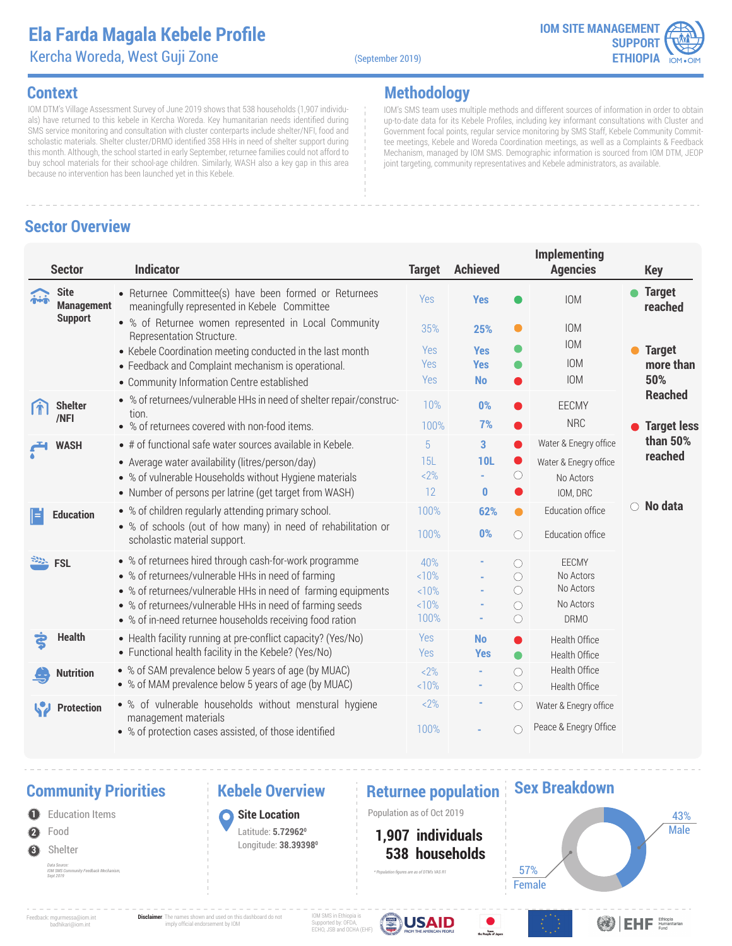# **Ela Farda Magala Kebele Profile**

Kercha Woreda, West Guji Zone (September 2019)

**Methodology**



### **Context**

IOM DTM's Village Assessment Survey of June 2019 shows that 538 households (1,907 individuals) have returned to this kebele in Kercha Woreda. Key humanitarian needs identified during SMS service monitoring and consultation with cluster conterparts include shelter/NFI, food and scholastic materials. Shelter cluster/DRMO identified 358 HHs in need of shelter support during this month. Although, the school started in early September, returnee families could not afford to buy school materials for their school-age children. Similarly, WASH also a key gap in this area because no intervention has been launched yet in this Kebele.

### **Sector Overview**

| <b>Sector</b>                                                 | <b>Indicator</b>                                                                                      | <b>Target</b> | <b>Achieved</b> |                       | Implementing<br><b>Agencies</b> | <b>Key</b>                 |
|---------------------------------------------------------------|-------------------------------------------------------------------------------------------------------|---------------|-----------------|-----------------------|---------------------------------|----------------------------|
| <b>Site</b><br>$\ddot{\hat{\mathbf{n}}}$<br><b>Management</b> | • Returnee Committee(s) have been formed or Returnees<br>meaningfully represented in Kebele Committee | Yes           | <b>Yes</b>      |                       | IOM                             | <b>Target</b><br>reached   |
| <b>Support</b>                                                | • % of Returnee women represented in Local Community<br>Representation Structure.                     | 35%           | 25%             | 0                     | <b>IOM</b><br><b>IOM</b>        |                            |
|                                                               | • Kebele Coordination meeting conducted in the last month                                             | Yes           | <b>Yes</b>      | O                     |                                 | <b>Target</b><br>$\bullet$ |
|                                                               | • Feedback and Complaint mechanism is operational.                                                    | Yes           | <b>Yes</b>      | O                     | <b>IOM</b>                      | more than                  |
|                                                               | • Community Information Centre established                                                            | Yes           | <b>No</b>       |                       | <b>IOM</b>                      | 50%<br><b>Reached</b>      |
| <b>Shelter</b>                                                | • % of returnees/vulnerable HHs in need of shelter repair/construc-<br>tion.                          | 10%           | 0%              |                       | EECMY                           |                            |
| /NFI                                                          | • % of returnees covered with non-food items.                                                         | 100%          | 7%              | O                     | <b>NRC</b>                      | <b>Target less</b>         |
| <b>WASH</b>                                                   | • # of functional safe water sources available in Kebele.                                             | 5             | 3               | ●                     | Water & Enegry office           | than 50%                   |
|                                                               | • Average water availability (litres/person/day)                                                      | 15L           | <b>10L</b>      | $\bullet$             | Water & Enegry office           | reached                    |
|                                                               | • % of vulnerable Households without Hygiene materials                                                | $2\%$         |                 | $\circlearrowright$   | No Actors                       |                            |
|                                                               | • Number of persons per latrine (get target from WASH)                                                | 12            | $\bf{0}$        |                       | IOM, DRC                        |                            |
| <b>Education</b>                                              | • % of children regularly attending primary school.                                                   | 100%          | 62%             | $\bullet$             | Education office                | No data<br>$\bigcirc$      |
|                                                               | • % of schools (out of how many) in need of rehabilitation or<br>scholastic material support.         | 100%          | 0%              | $\bigcirc$            | Education office                |                            |
| <b>FSL</b>                                                    | • % of returnees hired through cash-for-work programme                                                | 40%           |                 | $\bigcirc$            | EECMY                           |                            |
|                                                               | • % of returnees/vulnerable HHs in need of farming                                                    | <10%          |                 | $\bigcirc$            | No Actors                       |                            |
|                                                               | • % of returnees/vulnerable HHs in need of farming equipments                                         | <10%          |                 | $\bigcirc$            | No Actors                       |                            |
|                                                               | • % of returnees/vulnerable HHs in need of farming seeds                                              | <10%<br>100%  |                 | $\circ$<br>$\bigcirc$ | No Actors<br><b>DRMO</b>        |                            |
|                                                               | • % of in-need returnee households receiving food ration                                              |               |                 |                       |                                 |                            |
| <b>Health</b>                                                 | • Health facility running at pre-conflict capacity? (Yes/No)                                          | Yes           | <b>No</b>       | $\bullet$             | Health Office                   |                            |
|                                                               | • Functional health facility in the Kebele? (Yes/No)                                                  | Yes           | <b>Yes</b>      | $\bullet$             | Health Office                   |                            |
| <b>Nutrition</b>                                              | • % of SAM prevalence below 5 years of age (by MUAC)                                                  | $2\%$         |                 | $\bigcirc$            | Health Office                   |                            |
|                                                               | • % of MAM prevalence below 5 years of age (by MUAC)                                                  | <10%          |                 | $\circlearrowright$   | Health Office                   |                            |
| <b>Protection</b>                                             | • % of vulnerable households without menstural hygiene<br>management materials                        | $2\%$         |                 | $\circ$               | Water & Enegry office           |                            |
|                                                               | • % of protection cases assisted, of those identified                                                 | 100%          |                 | O                     | Peace & Enegry Office           |                            |

### **Community Priorities •• Returnee population**

- **2** Food
- **3** Shelter

*Data Source: IOM SMS Community Feedback Mechanism, Sept 2019*

# **Kebele Overview**

### **Site Location**

Latitude: **5.729620** Longitude: **38.393980**

**1** Population Items **1 1 C Site Location 1** Population as of Oct 2019

*\* Population figures are as of DTM's VAS R1*

### **538 households 1,907 individuals**

**Female** 57%

 $F<sub>com</sub>$ 



Feedback: mgurmessa@iom.int badhikari@iom.int

**Disclaimer**: The names shown and used on this dashboard do not imply official endorsement by IOM

IOM SMS in Ethiopia is Supported by: OFDA, ECHO, JSB and OCHA (EHF)



**Sex Breakdown**

**ODIEHE** Ethiopia

IOM's SMS team uses multiple methods and different sources of information in order to obtain up-to-date data for its Kebele Profiles, including key informant consultations with Cluster and Government focal points, regular service monitoring by SMS Staff, Kebele Community Committee meetings, Kebele and Woreda Coordination meetings, as well as a Complaints & Feedback Mechanism, managed by IOM SMS. Demographic information is sourced from IOM DTM, JEOP joint targeting, community representatives and Kebele administrators, as available.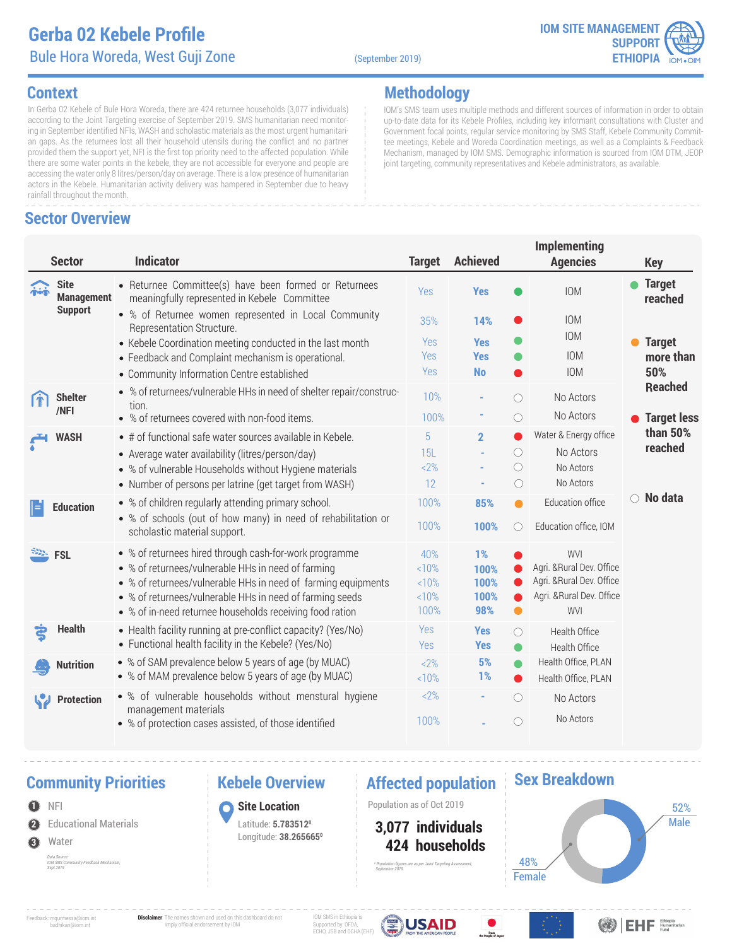

### **Context**

In Gerba 02 Kebele of Bule Hora Woreda, there are 424 returnee households (3,077 individuals) according to the Joint Targeting exercise of September 2019. SMS humanitarian need monitoring in September identified NFIs, WASH and scholastic materials as the most urgent humanitarian gaps. As the returnees lost all their household utensils during the conflict and no partner provided them the support yet, NFI is the first top priority need to the affected population. While there are some water points in the kebele, they are not accessible for everyone and people are accessing the water only 8 litres/person/day on average. There is a low presence of humanitarian actors in the Kebele. Humanitarian activity delivery was hampered in September due to heavy rainfall throughout the month.

# **Sector Overview**

**Methodology**

IOM's SMS team uses multiple methods and different sources of information in order to obtain up-to-date data for its Kebele Profiles, including key informant consultations with Cluster and Government focal points, regular service monitoring by SMS Staff, Kebele Community Committee meetings, Kebele and Woreda Coordination meetings, as well as a Complaints & Feedback Mechanism, managed by IOM SMS. Demographic information is sourced from IOM DTM, JEOP joint targeting, community representatives and Kebele administrators, as available.

|            | <b>Sector</b>                    | <b>Indicator</b>                                                                                                     | <b>Target</b> | <b>Achieved</b>          |                                | <b>Implementing</b><br><b>Agencies</b>                 |                 | <b>Key</b>                 |
|------------|----------------------------------|----------------------------------------------------------------------------------------------------------------------|---------------|--------------------------|--------------------------------|--------------------------------------------------------|-----------------|----------------------------|
| $\ddot{a}$ | <b>Site</b><br><b>Management</b> | • Returnee Committee(s) have been formed or Returnees<br>meaningfully represented in Kebele Committee                | Yes           | <b>Yes</b>               |                                | <b>IOM</b>                                             |                 | <b>Target</b><br>reached   |
|            | <b>Support</b>                   | • % of Returnee women represented in Local Community<br>Representation Structure.                                    | 35%           | 14%                      |                                | <b>IOM</b><br><b>IOM</b>                               |                 |                            |
|            |                                  | • Kebele Coordination meeting conducted in the last month<br>• Feedback and Complaint mechanism is operational.      | Yes<br>Yes    | <b>Yes</b><br><b>Yes</b> |                                | <b>IOM</b>                                             |                 | <b>Target</b><br>more than |
|            |                                  | • Community Information Centre established                                                                           | Yes           | <b>No</b>                |                                | <b>IOM</b>                                             |                 | 50%                        |
|            | <b>Shelter</b><br>/NFI           | • % of returnees/vulnerable HHs in need of shelter repair/construc-<br>tion.                                         | 10%           |                          | ∩                              | No Actors                                              |                 | <b>Reached</b>             |
|            |                                  | • % of returnees covered with non-food items.                                                                        | 100%          |                          | $\circ$                        | No Actors                                              |                 | <b>Target less</b>         |
|            | <b>WASH</b>                      | • # of functional safe water sources available in Kebele.                                                            | 5             | $\mathbf{2}$             |                                | Water & Energy office                                  |                 | than 50%<br>reached        |
|            |                                  | • Average water availability (litres/person/day)                                                                     | 15L           |                          | $\bigcirc$                     | No Actors                                              |                 |                            |
|            |                                  | • % of vulnerable Households without Hygiene materials<br>• Number of persons per latrine (get target from WASH)     | 2%<br>12      |                          | $\circ$<br>$\circlearrowright$ | No Actors<br>No Actors                                 |                 |                            |
| l=         | <b>Education</b>                 | • % of children regularly attending primary school.                                                                  | 100%          | 85%                      | $\bullet$                      | Education office                                       | $\circ$ No data |                            |
|            |                                  | • % of schools (out of how many) in need of rehabilitation or<br>scholastic material support.                        | 100%          | 100%                     | $\circ$                        | Education office, IOM                                  |                 |                            |
|            | <b>FSL</b>                       | • % of returnees hired through cash-for-work programme                                                               | 40%           | 1%                       |                                | <b>WVI</b>                                             |                 |                            |
|            |                                  | • % of returnees/vulnerable HHs in need of farming                                                                   | <10%          | 100%                     |                                | Agri. & Rural Dev. Office                              |                 |                            |
|            |                                  | • % of returnees/vulnerable HHs in need of farming equipments                                                        | 10%<br><10%   | 100%<br>100%             |                                | Agri. & Rural Dev. Office<br>Agri. & Rural Dev. Office |                 |                            |
|            |                                  | • % of returnees/vulnerable HHs in need of farming seeds<br>• % of in-need returnee households receiving food ration | 100%          | 98%                      | $\bullet$                      | WVI                                                    |                 |                            |
|            | <b>Health</b>                    | • Health facility running at pre-conflict capacity? (Yes/No)<br>• Functional health facility in the Kebele? (Yes/No) | Yes<br>Yes    | <b>Yes</b>               | O                              | Health Office                                          |                 |                            |
|            |                                  | • % of SAM prevalence below 5 years of age (by MUAC)                                                                 |               | <b>Yes</b><br>5%         | $\bullet$                      | Health Office                                          |                 |                            |
|            | <b>Nutrition</b>                 | • % of MAM prevalence below 5 years of age (by MUAC)                                                                 | 2%<br><10%    | 1%                       | $\bullet$<br>●                 | Health Office, PLAN<br>Health Office, PLAN             |                 |                            |
|            | <b>Protection</b>                | • % of vulnerable households without menstural hygiene                                                               | $2\%$         | ٠                        | $\bigcirc$                     | No Actors                                              |                 |                            |
|            |                                  | management materials<br>• % of protection cases assisted, of those identified                                        | 100%          |                          | ∩                              | No Actors                                              |                 |                            |

# **Community Priorities •• Rebele Overview •• Affected population**

**2** Educational Materials  $\bullet$  NFI **3** Water *Data Source: IOM SMS Community Feedback Mechanism, Sept 2019*

### **Kebele Overview**

**Site Location** Latitude: **5.7835120** Longitude: **38.2656650**

**1** Population as of Oct 2019

 **424 households 3,077 individuals**

*\* Population figures are as per Joint Targeting Assessment,* 

### **Sex Breakdown**



Feedback: mgurmessa@iom.int badhikari@iom.int **Disclaimer**: The names shown and used on this dashboard do not imply official endorsement by IOM

IOM SMS in Ethiopia is Supported by: OFDA, ECHO, JSB and OCHA (EHF)



From<br>o People of Jac

 *September 2019.*



**OBIEHE** Ethiopia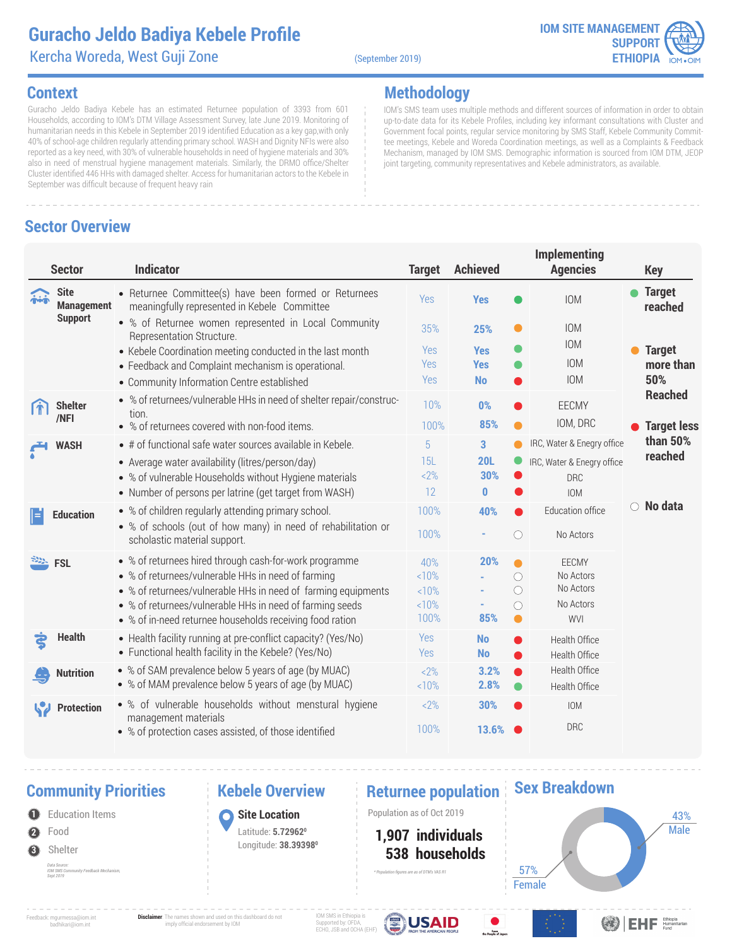### **Guracho Jeldo Badiya Kebele Profile** Kercha Woreda, West Guji Zone (September 2019)

**Methodology**



IOM's SMS team uses multiple methods and different sources of information in order to obtain up-to-date data for its Kebele Profiles, including key informant consultations with Cluster and Government focal points, regular service monitoring by SMS Staff, Kebele Community Committee meetings, Kebele and Woreda Coordination meetings, as well as a Complaints & Feedback Mechanism, managed by IOM SMS. Demographic information is sourced from IOM DTM, JEOP

joint targeting, community representatives and Kebele administrators, as available.

### **Context**

Guracho Jeldo Badiya Kebele has an estimated Returnee population of 3393 from 601 Households, according to IOM's DTM Village Assessment Survey, late June 2019. Monitoring of humanitarian needs in this Kebele in September 2019 identified Education as a key gap,with only 40% of school-age children regularly attending primary school. WASH and Dignity NFIs were also reported as a key need, with 30% of vulnerable households in need of hygiene materials and 30% also in need of menstrual hygiene management materials. Similarly, the DRMO office/Shelter Cluster identified 446 HHs with damaged shelter. Access for humanitarian actors to the Kebele in September was difficult because of frequent heavy rain

### **Sector Overview**

### **Implementing Agencies Sector Indicator Target Achieved Key Yes o** IOM **o Target Site** Returnee Committee(s) have been formed or Returnees  $\ddot{a}$ Yes IOM **Management** meaningfully represented in Kebele Committee **reached Support** % of Returnee women represented in Local Community IOM 35% **25%** Representation Structure. IOM ● • Kebele Coordination meeting conducted in the last month Yes **Yes Target**  IOM Feedback and Complaint mechanism is operational. Yes **Yes more than 50%**  Community Information Centre established Yes **No** IOM **Reached** % of returnees/vulnerable HHs in need of shelter repair/construc-**Shelter** 10% **0%** EECMY tion. **/NFI** IOM, DRC • % of returnees covered with non-food items. 100% **85% Target less than 50%**  IRC, Water & Enegry office • # of functional safe water sources available in Kebele. 5 **3 WASH reached** Average water availability (litres/person/day) � 15L **20L** IRC, Water & Enegry office <2% **30%** % of vulnerable Households without Hygiene materials DRC • Number of persons per latrine (get target from WASH) 12 **0** IOM **No data** % of children regularly attending primary school. 100% **40%** Education office **Education** % of schools (out of how many) in need of rehabilitation or 100% **-**  $\bigcirc$ No Actors scholastic material support. **FSL** % of returnees hired through cash-for-work programme **20%** 40%  $\bullet$ **FECMY** % of returnees/vulnerable HHs in need of farming <10%  $\bigcirc$ No Actors **-** % of returnees/vulnerable HHs in need of farming equipments  $\bigcirc$ No Actors  $10%$ **-** No Actors % of returnees/vulnerable HHs in need of farming seeds <10% **-**  $\circ$ 100% **85%** WVI  $\bullet$ % of in-need returnee households receiving food ration **Health** Health facility running at pre-conflict capacity? (Yes/No) Yes Health Office **No** Functional health facility in the Kebele? (Yes/No) Yes **No** Health Office Health Office % of SAM prevalence below 5 years of age (by MUAC)  $2%$ **3.2% Nutrition** % of MAM prevalence below 5 years of age (by MUAC) <10% **2.8%** Health Office % of vulnerable households without menstural hygiene  $22%$ **30%** IOM W **Protection** management materials **13.6%** DRC 100% % of protection cases assisted, of those identified

### **Community Priorities 19 Nebele Overview 19 Neturnee population**

### Education Items

- **2** Food
- **3** Shelter
	- *Data Source: IOM SMS Community Feedback Mechanism, Sept 2019*

**Kebele Overview**

### **Site Location**

Latitude: **5.729620** Longitude: **38.393980**

**1** Population Items

 **538 households 1,907 individuals** *\* Population figures are as of DTM's VAS R1*



**Sex Breakdown**

Feedback: mgurmessa@iom.int badhikari@iom.int

**Disclaimer**: The names shown and used on this dashboard do not imply official endorsement by IOM

IOM SMS in Ethiopia i Supported by: OFDA, ECHO, JSB and OCHA (EHF) **USAID**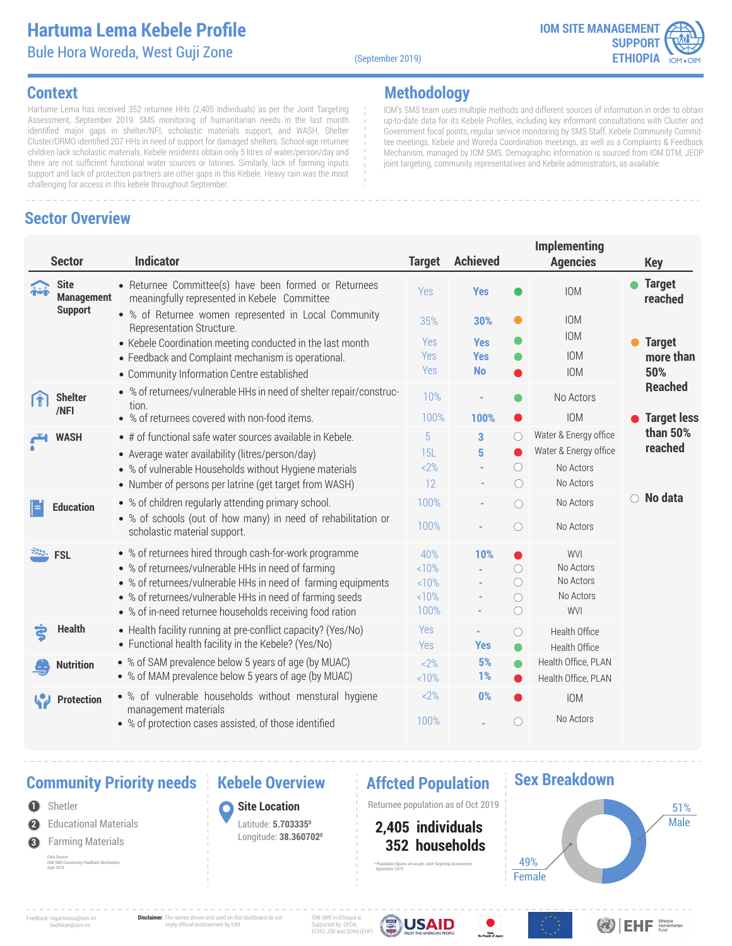### **Hartuma Lema Kebele Profile** Bule Hora Woreda, West Guji Zone

(September 2019)

**Methodology**



IOM's SMS team uses multiple methods and different sources of information in order to obtain up-to-date data for its Kebele Profiles, including key informant consultations with Cluster and Government focal points, regular service monitoring by SMS Staff, Kebele Community Committee meetings, Kebele and Woreda Coordination meetings, as well as a Complaints & Feedback Mechanism, managed by IOM SMS. Demographic information is sourced from IOM DTM, JEOP

joint targeting, community representatives and Kebele administrators, as available.

### **Context**

Hartume Lema has received 352 returnee HHs (2,405 individuals) as per the Joint Targeting Assessment, September 2019. SMS monitoring of humanitarian needs in the last month identified major gaps in shelter/NFI, scholastic materials support, and WASH. Shelter Cluster/DRMO identified 207 HHs in need of support for damaged shelters. School-age returnee children lack scholastic materials. Kebele residents obtain only 5 litres of water/person/day and there are not sufficient functional water sources or latrines. Similarly, lack of farming inputs support and lack of protection partners are other gaps in this Kebele. Heavy rain was the most challenging for access in this kebele throughout September.

### **Sector Overview**

### **Implementing Sector Indicator Target Achieved Agencies Key Site** • Returnee Committee(s) have been formed or Returnees **Yes o** IOM **o Target** IOM Yes **Management reached** meaningfully represented in Kebele Committee **Support** % of Returnee women represented in Local Community IOM 35% **30%** Representation Structure. IOM **Target**  • Kebele Coordination meeting conducted in the last month Yes **Yes** IOM Yes **Yes more than**  Feedback and Complaint mechanism is operational. Yes **No** IOM **50%**  Community Information Centre established **Reached** % of returnees/vulnerable HHs in need of shelter repair/construc-**Shelter** 10% **-** No Actors tion. **/NFI** IOM **Target less**  % of returnees covered with non-food items. 100% **100% than 50%**  Water & Energy office  $\bigcirc$ • # of functional safe water sources available in Kebele. 5 **3 WASH reached**  $\bullet$ Water & Energy office Average water availability (litres/person/day) � 15L **5**  $\circ$  $2%$ No Actors % of vulnerable Households without Hygiene materials **-** Number of persons per latrine (get target from WASH) 12 **-**  $\bigcirc$ No Actors **No data** 100% **-** % of children regularly attending primary school. No Actors  $\bigcirc$ **Education** % of schools (out of how many) in need of rehabilitation or 100% **-**   $\bigcirc$ No Actors scholastic material support. % of returnees hired through cash-for-work programme **FSL** 40% **10%** WVI No Actors % of returnees/vulnerable HHs in need of farming  $10%$  $\bigcirc$ **-** No Actors % of returnees/vulnerable HHs in need of farming equipments <10%  $\circ$ **-** % of returnees/vulnerable HHs in need of farming seeds  $10%$  $\bigcirc$ No Actors **-** WVI 100% **-**   $\bigcirc$ % of in-need returnee households receiving food ration **Health** • Health facility running at pre-conflict capacity? (Yes/No) Yes Health Office  $\bigcirc$ **-** Functional health facility in the Kebele? (Yes/No) Yes **Yes** Health Office % of SAM prevalence below 5 years of age (by MUAC) **5%** Health Office, PLAN  $<2%$ ۰ **Nutrition** % of MAM prevalence below 5 years of age (by MUAC) **1%** Health Office, PLAN <10% % of vulnerable households without menstural hygiene  $<$ 2% **0% Protection** IOM management materials **-** No Actors 100% % of protection cases assisted, of those identified

# **Community Priority needs | Kebele Overview | Affcted Population**

**2** Shetler Educational Materials **3** Farming Materials *Data Source: IOM SMS Community Feedback Mechanism, Sept 2019*

### **Kebele Overview**

**Site Location** Latitude: **5.7033350** Longitude: **38.3607020**

**1** Returnee population as of Oct 2019

 **352 households 2,405 individuals**

*\* Population figures are as per Joint Targeting Assessment,* 

 *September 2019.*

### **Sex Breakdown**



Feedback: mgurmessa@iom.int badhikari@iom.int

**Disclaimer**: The names shown and used on this dashboard do not imply official endorsement by IOM

IOM SMS in Ethiopia is Supported by: OFDA, ECHO, JSB and OCHA (EHF)



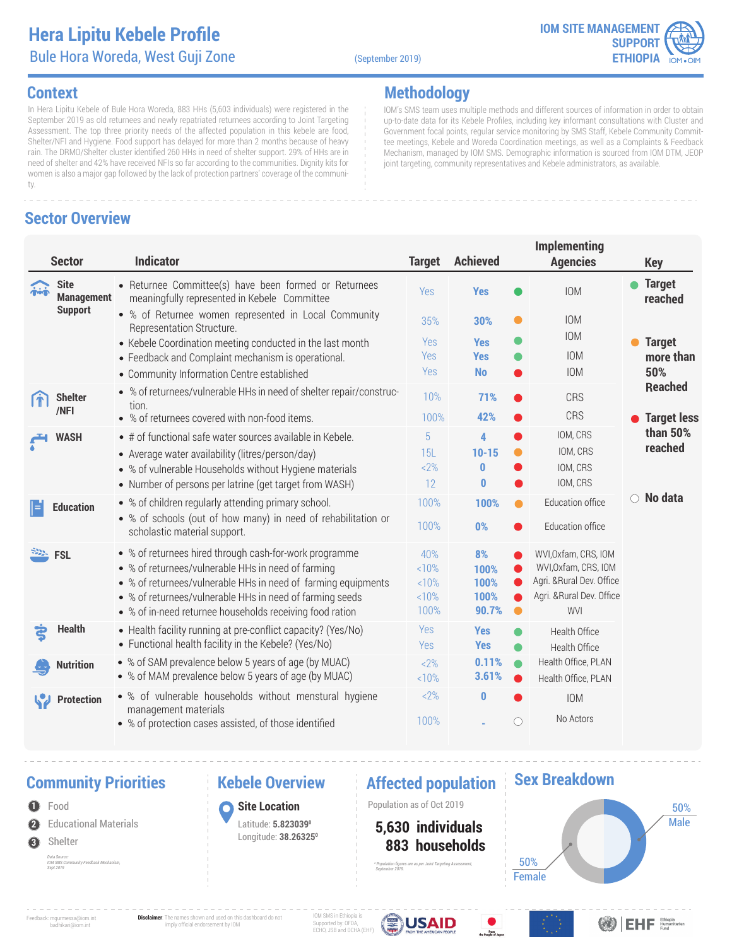### **Hera Lipitu Kebele Profile** Bule Hora Woreda, West Guji Zone (September 2019)

**Methodology**



IOM's SMS team uses multiple methods and different sources of information in order to obtain up-to-date data for its Kebele Profiles, including key informant consultations with Cluster and Government focal points, regular service monitoring by SMS Staff, Kebele Community Commit-

### **Context**

In Hera Lipitu Kebele of Bule Hora Woreda, 883 HHs (5,603 individuals) were registered in the September 2019 as old returnees and newly repatriated returnees according to Joint Targeting Assessment. The top three priority needs of the affected population in this kebele are food, Shelter/NFI and Hygiene. Food support has delayed for more than 2 months because of heavy rain. The DRMO/Shelter cluster identified 260 HHs in need of shelter support. 29% of HHs are in need of shelter and 42% have received NFIs so far according to the communities. Dignity kits for women is also a major gap followed by the lack of protection partners' coverage of the community.

### **Sector Overview**

# **Implementing**  tee meetings, Kebele and Woreda Coordination meetings, as well as a Complaints & Feedback Mechanism, managed by IOM SMS. Demographic information is sourced from IOM DTM, JEOP joint targeting, community representatives and Kebele administrators, as available.

|            | <b>Sector</b>                    | <b>Indicator</b>                                                                                                          | <b>Target</b>     | <b>Achieved</b>          | <b>Agencies</b>                                   | <b>Key</b>                     |
|------------|----------------------------------|---------------------------------------------------------------------------------------------------------------------------|-------------------|--------------------------|---------------------------------------------------|--------------------------------|
| $\ddot{a}$ | <b>Site</b><br><b>Management</b> | • Returnee Committee(s) have been formed or Returnees<br>meaningfully represented in Kebele Committee                     | Yes               | <b>Yes</b>               | <b>IOM</b>                                        | <b>Target</b><br>reached       |
|            | <b>Support</b>                   | • % of Returnee women represented in Local Community<br>Representation Structure.                                         | 35%               | $\bullet$<br>30%         | <b>IOM</b><br><b>IOM</b>                          |                                |
|            |                                  | • Kebele Coordination meeting conducted in the last month<br>• Feedback and Complaint mechanism is operational.           | <b>Yes</b><br>Yes | <b>Yes</b><br><b>Yes</b> | <b>IOM</b>                                        | <b>Target</b><br>more than     |
|            |                                  | • Community Information Centre established                                                                                | Yes               | <b>No</b><br>$\bullet$   | <b>IOM</b>                                        | 50%                            |
|            | <b>Shelter</b><br>/NFI           | • % of returnees/vulnerable HHs in need of shelter repair/construc-<br>tion.                                              | 10%               | 71%                      | <b>CRS</b>                                        | <b>Reached</b>                 |
|            |                                  | • % of returnees covered with non-food items.                                                                             | 100%              | 42%                      | CRS                                               | <b>Target less</b><br>than 50% |
|            | <b>WASH</b>                      | • # of functional safe water sources available in Kebele.                                                                 | 5                 | 4                        | IOM, CRS                                          | reached                        |
|            |                                  | • Average water availability (litres/person/day)                                                                          | 15L<br>$2\%$      | $10 - 15$<br>0           | IOM, CRS<br>IOM, CRS                              |                                |
|            |                                  | • % of vulnerable Households without Hygiene materials<br>• Number of persons per latrine (get target from WASH)          | 12                | $\bf{0}$                 | IOM, CRS                                          |                                |
| Ε          | <b>Education</b>                 | • % of children regularly attending primary school.                                                                       | 100%              | 100%<br>●                | Education office                                  | No data<br>$\bigcirc$          |
|            |                                  | • % of schools (out of how many) in need of rehabilitation or<br>scholastic material support.                             | 100%              | 0%<br>●                  | Education office                                  |                                |
|            | <b>FSL</b>                       | • % of returnees hired through cash-for-work programme                                                                    | 40%               | 8%                       | WVI, Oxfam, CRS, IOM                              |                                |
|            |                                  | • % of returnees/vulnerable HHs in need of farming                                                                        | <10%              | 100%                     | WVI, Oxfam, CRS, IOM<br>Agri. & Rural Dev. Office |                                |
|            |                                  | • % of returnees/vulnerable HHs in need of farming equipments<br>• % of returnees/vulnerable HHs in need of farming seeds | <10%<br><10%      | 100%<br>100%             | Agri. & Rural Dev. Office                         |                                |
|            |                                  | • % of in-need returnee households receiving food ration                                                                  | 100%              | 90.7%<br>$\bullet$       | WVI                                               |                                |
| දි         | <b>Health</b>                    | • Health facility running at pre-conflict capacity? (Yes/No)<br>• Functional health facility in the Kebele? (Yes/No)      | Yes<br>Yes        | <b>Yes</b><br><b>Yes</b> | Health Office<br>Health Office                    |                                |
|            | <b>Nutrition</b>                 | • % of SAM prevalence below 5 years of age (by MUAC)                                                                      | $2\%$             | 0.11%<br>$\bullet$       | Health Office, PLAN                               |                                |
|            |                                  | • % of MAM prevalence below 5 years of age (by MUAC)                                                                      | <10%              | 3.61%<br>$\bullet$       | Health Office, PLAN                               |                                |
|            | <b>Protection</b>                | • % of vulnerable households without menstural hygiene<br>management materials                                            | $2\%$             | $\bf{0}$                 | <b>IOM</b>                                        |                                |
|            |                                  | • % of protection cases assisted, of those identified                                                                     | 100%              | O                        | No Actors                                         |                                |

# **Community Priorities •• Rebele Overview •• Affected population**

**2** Educational Materials **O** Food **3** Shelter *Data Source: IOM SMS Community Feedback Mechanism, Sept 2019*

# **Kebele Overview**

**Site Location** Latitude: **5.8230390** Longitude: **38.263250**

**1** Population as of Oct 2019

 **883 households 5,630 individuals**

*\* Population figures are as per Joint Targeting Assessment,* 

 *September 2019.*

### **Sex Breakdown**



Feedback: mgurmessa@iom.int badhikari@iom.int **Disclaimer**: The names shown and used on this dashboard do not imply official endorsement by IOM

IOM SMS in Ethiopia is Supported by: OFDA, ECHO, JSB and OCHA (EHF)





<sup>Ethlopia</sup>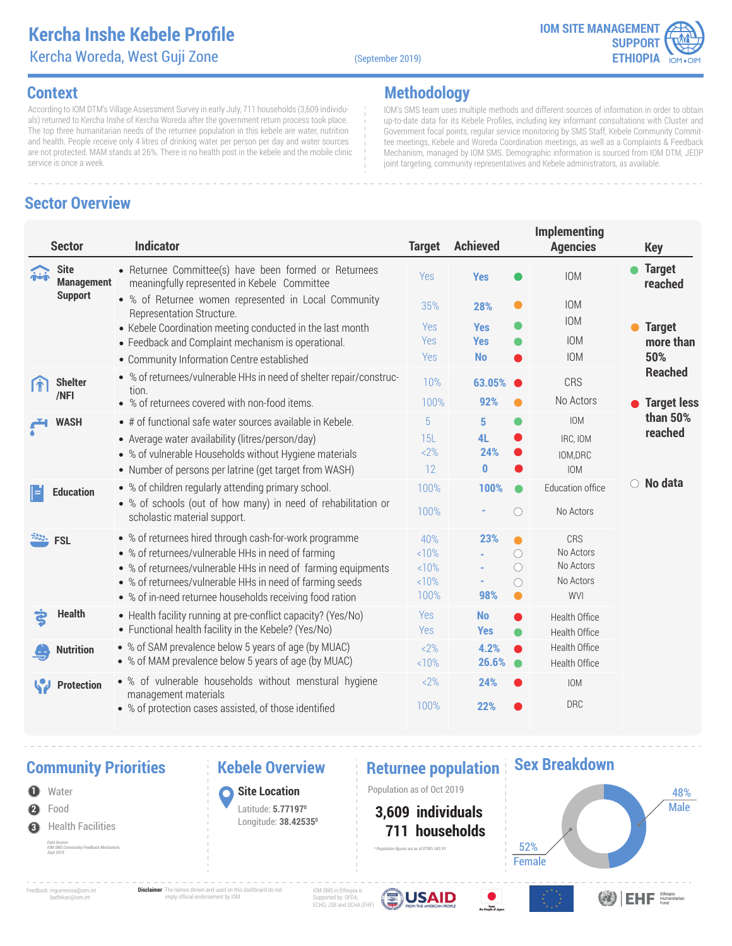### **Kercha Inshe Kebele Profile** Kercha Woreda, West Guji Zone (September 2019)

**Methodology**



IOM's SMS team uses multiple methods and different sources of information in order to obtain up-to-date data for its Kebele Profiles, including key informant consultations with Cluster and Government focal points, regular service monitoring by SMS Staff, Kebele Community Committee meetings, Kebele and Woreda Coordination meetings, as well as a Complaints & Feedback Mechanism, managed by IOM SMS. Demographic information is sourced from IOM DTM, JEOP

joint targeting, community representatives and Kebele administrators, as available.

### **Context**

According to IOM DTM's Village Assessment Survey in early July, 711 households (3,609 individuals) returned to Kercha Inshe of Kercha Woreda after the government return process took place. The top three humanitarian needs of the returnee population in this kebele are water, nutrition and health. People receive only 4 litres of drinking water per person per day and water sources are not protected. MAM stands at 26%. There is no health post in the kebele and the mobile clinic service is once a week.

# **Sector Overview**

### **Implementing Sector Indicator Target Achieved Agencies Key Site** • Returnee Committee(s) have been formed or Returnees **Yes C** IOM **C** Target IOM Yes **Management** meaningfully represented in Kebele Committee **reached Support** % of Returnee women represented in Local Community IOM 35% **28%**  $\bullet$ Representation Structure. IOM • Kebele Coordination meeting conducted in the last month Yes **Yes Target**  Yes **Yes** IOM **more than**  Feedback and Complaint mechanism is operational. IOM **50%**  Yes **No** Community Information Centre established **Reached** % of returnees/vulnerable HHs in need of shelter repair/construc-10% **63.05%** CRS **Shelter** tion. **/NFI 92%** No Actors % of returnees covered with non-food items. 100% **Target less than 50%**  IOM • # of functional safe water sources available in Kebele. 5 **5 WASH reached** Average water availability (litres/person/day) � 15L **4L** IRC, IOM  $\bullet$ <2% **24%** % of vulnerable Households without Hygiene materials IOM,DRC Number of persons per latrine (get target from WASH) 12 **0** IOM **No data** % of children regularly attending primary school. 100% **100%**  $\bullet$ Education office **Education** % of schools (out of how many) in need of rehabilitation or 100% **-**  $\bigcirc$ No Actors scholastic material support. **FSL** % of returnees hired through cash-for-work programme **23%** CRS 40%  $\bullet$ % of returnees/vulnerable HHs in need of farming  $\bigcirc$ No Actors <10% **-** No Actors % of returnees/vulnerable HHs in need of farming equipments  $10%$  $\bigcirc$ **-** % of returnees/vulnerable HHs in need of farming seeds No Actors  $10%$ **-**  $\circlearrowright$ % of in-need returnee households receiving food ration 100% **98%** WVI **Health** Health facility running at pre-conflict capacity? (Yes/No) Yes **No** Health Office Functional health facility in the Kebele? (Yes/No) Yes **Yes** Health Office % of SAM prevalence below 5 years of age (by MUAC)  $22%$ **4.2%** Health Office **Nutrition** % of MAM prevalence below 5 years of age (by MUAC)  $10%$ **26.6%** ۰ Health Office % of vulnerable households without menstural hygiene **24%** IOM  $22%$ **Protection** management materials **22%** DRC 100% % of protection cases assisted, of those identified

### **Community Priorities 6 Reprise Returnee population**

**1** Population as of Oct 2019 **2** Water Food **3** Health Facilities *Data Source: IOM SMS Community Feedback Mechanism, Sept 2019*

### **Kebele Overview**

**Site Location** Latitude: **5.771970** Longitude: **38.425350**

*\* Population figures are as of DTM's VAS R1*

### **711 households 3,609 individuals**



Feedback: mgurmessa@iom.int badhikari@iom.int

**Disclaimer**: The names shown and used on this dashboard do not imply official endorsement by IOM

IOM SMS in Ethiopia is Supported by: OFDA, ECHO, JSB and OCHA (EHF)





**BEHF** Ethiopia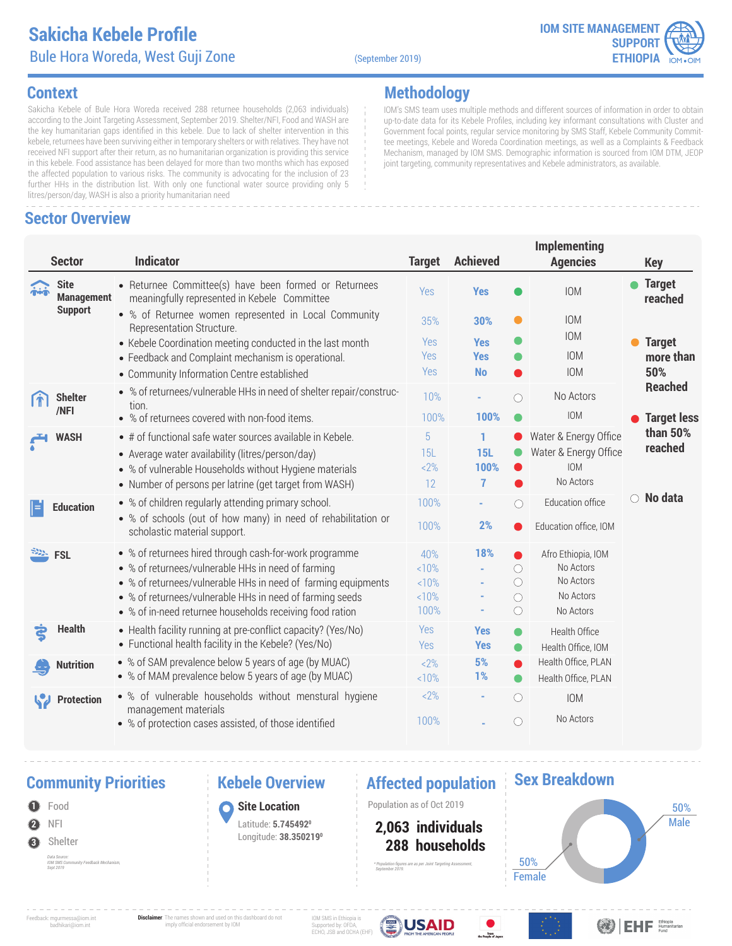### **Sakicha Kebele Profile** Bule Hora Woreda, West Guji Zone (September 2019)



### **Context**

Sakicha Kebele of Bule Hora Woreda received 288 returnee households (2,063 individuals) according to the Joint Targeting Assessment, September 2019. Shelter/NFI, Food and WASH are the key humanitarian gaps identified in this kebele. Due to lack of shelter intervention in this kebele, returnees have been surviving either in temporary shelters or with relatives. They have not received NFI support after their return, as no humanitarian organization is providing this service in this kebele. Food assistance has been delayed for more than two months which has exposed the affected population to various risks. The community is advocating for the inclusion of 23 further HHs in the distribution list. With only one functional water source providing only 5 litres/person/day, WASH is also a priority humanitarian need

### **Sector Overview**

**Methodology**

IOM's SMS team uses multiple methods and different sources of information in order to obtain up-to-date data for its Kebele Profiles, including key informant consultations with Cluster and Government focal points, regular service monitoring by SMS Staff, Kebele Community Committee meetings, Kebele and Woreda Coordination meetings, as well as a Complaints & Feedback Mechanism, managed by IOM SMS. Demographic information is sourced from IOM DTM, JEOP joint targeting, community representatives and Kebele administrators, as available.

|      | <b>Sector</b>                    | <b>Indicator</b>                                                                                                                                                                                                                                                                                      | <b>Target</b>                      | <b>Achieved</b>              | <b>Implementing</b><br><b>Agencies</b>                                                                                         | <b>Key</b>                 |
|------|----------------------------------|-------------------------------------------------------------------------------------------------------------------------------------------------------------------------------------------------------------------------------------------------------------------------------------------------------|------------------------------------|------------------------------|--------------------------------------------------------------------------------------------------------------------------------|----------------------------|
| mini | <b>Site</b><br><b>Management</b> | • Returnee Committee(s) have been formed or Returnees<br>meaningfully represented in Kebele Committee                                                                                                                                                                                                 | Yes                                | <b>Yes</b>                   | <b>IOM</b>                                                                                                                     | <b>Target</b><br>reached   |
|      | <b>Support</b>                   | • % of Returnee women represented in Local Community<br>Representation Structure.                                                                                                                                                                                                                     | 35%                                | 30%                          | <b>IOM</b><br>O<br><b>IOM</b>                                                                                                  |                            |
|      |                                  | • Kebele Coordination meeting conducted in the last month<br>• Feedback and Complaint mechanism is operational.                                                                                                                                                                                       | <b>Yes</b><br>Yes                  | <b>Yes</b><br><b>Yes</b>     | <b>IOM</b>                                                                                                                     | <b>Target</b><br>more than |
|      |                                  | • Community Information Centre established                                                                                                                                                                                                                                                            | Yes                                | <b>No</b>                    | <b>IOM</b>                                                                                                                     | 50%<br><b>Reached</b>      |
|      | <b>Shelter</b>                   | • % of returnees/vulnerable HHs in need of shelter repair/construc-<br>tion.                                                                                                                                                                                                                          | 10%                                |                              | No Actors<br>$\bigcap$                                                                                                         |                            |
|      | /NFI                             | • % of returnees covered with non-food items.                                                                                                                                                                                                                                                         | 100%                               | 100%                         | <b>IOM</b>                                                                                                                     | <b>Target less</b>         |
|      | <b>WASH</b>                      | • # of functional safe water sources available in Kebele.<br>• Average water availability (litres/person/day)<br>• % of vulnerable Households without Hygiene materials<br>• Number of persons per latrine (get target from WASH)                                                                     | 5<br>15L<br>$2\%$<br>12            | 1<br><b>15L</b><br>100%<br>7 | Water & Energy Office<br>Water & Energy Office<br><b>IOM</b><br>No Actors                                                      | than 50%<br>reached        |
| E    | <b>Education</b>                 | • % of children regularly attending primary school.<br>• % of schools (out of how many) in need of rehabilitation or<br>scholastic material support.                                                                                                                                                  | 100%<br>100%                       | 2%                           | Education office<br>$\bigcirc$<br>Education office, IOM                                                                        | $\circ$ No data            |
|      | <b>FSL</b>                       | • % of returnees hired through cash-for-work programme<br>• % of returnees/vulnerable HHs in need of farming<br>• % of returnees/vulnerable HHs in need of farming equipments<br>• % of returnees/vulnerable HHs in need of farming seeds<br>• % of in-need returnee households receiving food ration | 40%<br>10%<br><10%<br><10%<br>100% | 18%                          | Afro Ethiopia, IOM<br>No Actors<br>$\bigcirc$<br>No Actors<br>$\bigcirc$<br>No Actors<br>$\bigcirc$<br>$\bigcirc$<br>No Actors |                            |
| ξ    | <b>Health</b>                    | • Health facility running at pre-conflict capacity? (Yes/No)<br>• Functional health facility in the Kebele? (Yes/No)                                                                                                                                                                                  | Yes<br>Yes                         | <b>Yes</b><br><b>Yes</b>     | Health Office<br>O<br>Health Office, IOM<br>$\bullet$                                                                          |                            |
|      | <b>Nutrition</b>                 | • % of SAM prevalence below 5 years of age (by MUAC)<br>• % of MAM prevalence below 5 years of age (by MUAC)                                                                                                                                                                                          | $2\%$<br>10%                       | 5%<br>1%                     | Health Office, PLAN<br>$\bullet$<br>Health Office, PLAN<br>$\bullet$                                                           |                            |
|      | <b>Protection</b>                | • % of vulnerable households without menstural hygiene<br>management materials<br>• % of protection cases assisted, of those identified                                                                                                                                                               | $2\%$<br>100%                      |                              | $\bigcirc$<br><b>IOM</b><br>No Actors<br>O                                                                                     |                            |

### **Community Priorities •• Rebele Overview •• Affected population**

**2 O** Food NFI **3** Shelter *Data Source: IOM SMS Community Feedback Mechanism, Sept 2019*

### **Kebele Overview**

**Site Location** Latitude: **5.7454920** Longitude: **38.3502190**

**1** Population as of Oct 2019

 **288 households 2,063 individuals**

*\* Population figures are as per Joint Targeting Assessment,* 

 *September 2019.*

### **Sex Breakdown**



Feedback: mgurmessa@iom.int badhikari@iom.int

**Disclaimer**: The names shown and used on this dashboard do not imply official endorsement by IOM

IOM SMS in Ethiopia is Supported by: OFDA, ECHO, JSB and OCHA (EHF)





**OB** EHF Ethiopia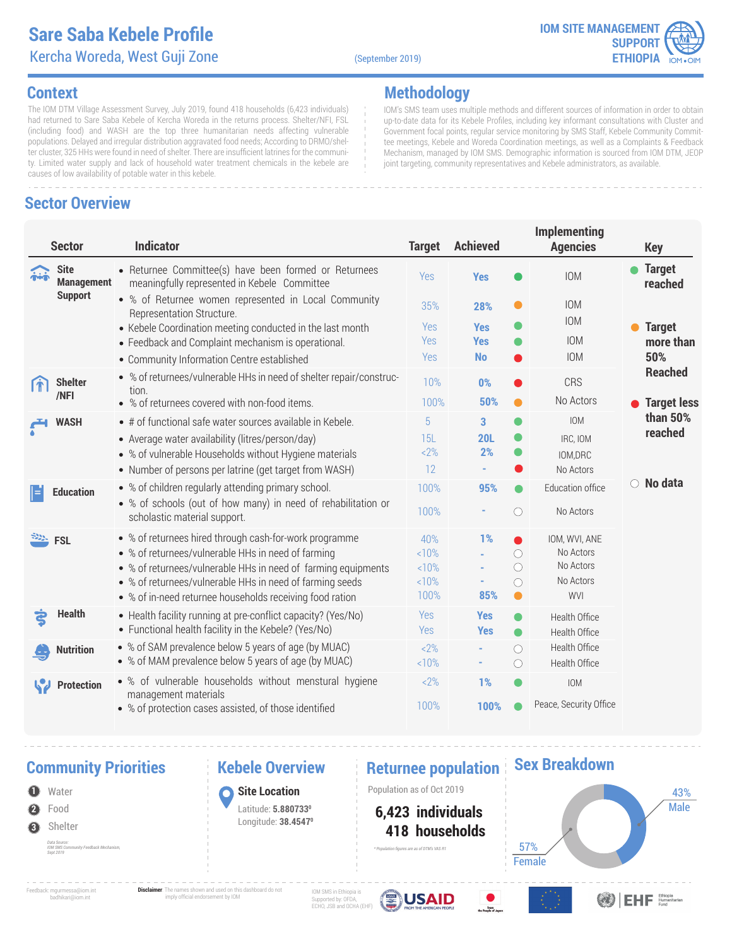### **Sare Saba Kebele Profile** Kercha Woreda, West Guji Zone (September 2019)

**Methodology**



IOM's SMS team uses multiple methods and different sources of information in order to obtain up-to-date data for its Kebele Profiles, including key informant consultations with Cluster and Government focal points, regular service monitoring by SMS Staff, Kebele Community Committee meetings, Kebele and Woreda Coordination meetings, as well as a Complaints & Feedback Mechanism, managed by IOM SMS. Demographic information is sourced from IOM DTM, JEOP

joint targeting, community representatives and Kebele administrators, as available.

### **Context**

The IOM DTM Village Assessment Survey, July 2019, found 418 households (6,423 individuals) had returned to Sare Saba Kebele of Kercha Woreda in the returns process. Shelter/NFI, FSL (including food) and WASH are the top three humanitarian needs affecting vulnerable populations. Delayed and irregular distribution aggravated food needs; According to DRMO/shelter cluster, 325 HHs were found in need of shelter. There are insufficient latrines for the community. Limited water supply and lack of household water treatment chemicals in the kebele are causes of low availability of potable water in this kebele.

### **Sector Overview**

### **Implementing Sector Indicator Target Achieved Agencies Key Site** • Returnee Committee(s) have been formed or Returnees **Yes C** IOM **C** Target IOM Yes **Management** meaningfully represented in Kebele Committee **reached Support** % of Returnee women represented in Local Community IOM 35% **28%** Representation Structure. IOM • Kebele Coordination meeting conducted in the last month Yes **Yes Target**  Yes **Yes** IOM **more than**  Feedback and Complaint mechanism is operational. IOM **50%**  Yes **No** Community Information Centre established **Reached** % of returnees/vulnerable HHs in need of shelter repair/construc-10% **0%** CRS **Shelter** tion. **/NFI 50%** No Actors % of returnees covered with non-food items. 100% **Target less than 50%**  IOM • # of functional safe water sources available in Kebele. 5 **3 WASH reached** Average water availability (litres/person/day) � 15L **20L** ● IRC, IOM <2% **2%** ∙ % of vulnerable Households without Hygiene materials IOM,DRC Number of persons per latrine (get target from WASH) 12 **-** No Actors **No data** % of children regularly attending primary school. 100% **95%** Education office **Education** % of schools (out of how many) in need of rehabilitation or 100% **-**  $\bigcirc$ No Actors scholastic material support. **FSL** % of returnees hired through cash-for-work programme **1%** IOM, WVI, ANE 40%  $\bullet$ % of returnees/vulnerable HHs in need of farming No Actors <10%  $\circ$ **-** No Actors % of returnees/vulnerable HHs in need of farming equipments  $10%$  $\circlearrowright$ **-** % of returnees/vulnerable HHs in need of farming seeds No Actors  $10%$ **-**  $\circlearrowright$ % of in-need returnee households receiving food ration 100% **85%** WVI **Health** Health facility running at pre-conflict capacity? (Yes/No) Yes **Yes**  $\bullet$ Health Office Functional health facility in the Kebele? (Yes/No) Yes **Yes** Health Office ● % of SAM prevalence below 5 years of age (by MUAC)  $22%$  $\bigcirc$ Health Office **Nutrition -** % of MAM prevalence below 5 years of age (by MUAC)  $10%$ **-**  $\bigcirc$ Health Office % of vulnerable households without menstural hygiene **1%** IOM  $22%$ **Protection** management materials **100%** Peace, Security Office 100% % of protection cases assisted, of those identified

### **Community Priorities 6 Reprise Returnee population**

- **2** Water Food
- **3** Shelter
	- *Data Source: IOM SMS Community Feedback Mechanism, Sept 2019*

### **Kebele Overview**

**1** Population as of Oct 2019 **Site Location** Latitude: **5.8807330** Longitude: **38.45470**

*\* Population figures are as of DTM's VAS R1*

 **418 households 6,423 individuals**

### **Sex Breakdown**

Male Female 57% 43%

Feedback: mgurmessa@iom.int badhikari@iom.int

**Disclaimer**: The names shown and used on this dashboard do not imply official endorsement by IOM

IOM SMS in Ethiopia is Supported by: OFDA, ECHO, JSB and OCHA (EHF)





**ODEHE** Ethiopia